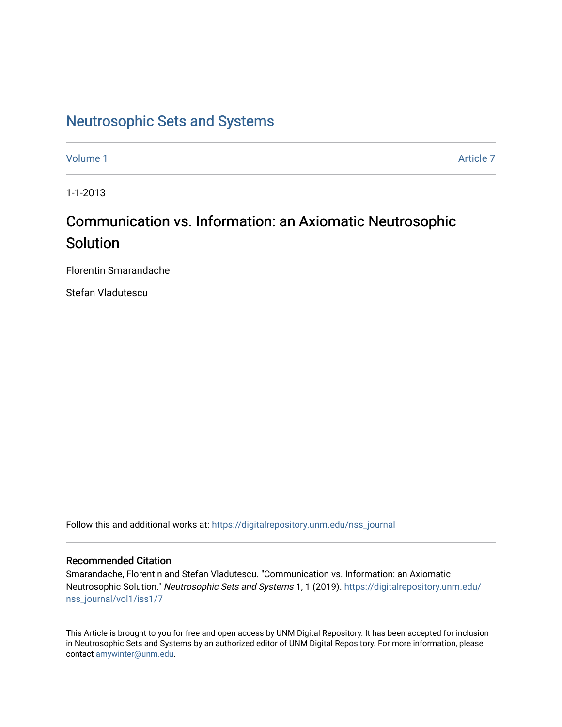## [Neutrosophic Sets and Systems](https://digitalrepository.unm.edu/nss_journal)

[Volume 1](https://digitalrepository.unm.edu/nss_journal/vol1) Article 7

1-1-2013

# Communication vs. Information: an Axiomatic Neutrosophic Solution

Florentin Smarandache

Stefan Vladutescu

Follow this and additional works at: [https://digitalrepository.unm.edu/nss\\_journal](https://digitalrepository.unm.edu/nss_journal?utm_source=digitalrepository.unm.edu%2Fnss_journal%2Fvol1%2Fiss1%2F7&utm_medium=PDF&utm_campaign=PDFCoverPages) 

### Recommended Citation

Smarandache, Florentin and Stefan Vladutescu. "Communication vs. Information: an Axiomatic Neutrosophic Solution." Neutrosophic Sets and Systems 1, 1 (2019). [https://digitalrepository.unm.edu/](https://digitalrepository.unm.edu/nss_journal/vol1/iss1/7?utm_source=digitalrepository.unm.edu%2Fnss_journal%2Fvol1%2Fiss1%2F7&utm_medium=PDF&utm_campaign=PDFCoverPages) [nss\\_journal/vol1/iss1/7](https://digitalrepository.unm.edu/nss_journal/vol1/iss1/7?utm_source=digitalrepository.unm.edu%2Fnss_journal%2Fvol1%2Fiss1%2F7&utm_medium=PDF&utm_campaign=PDFCoverPages) 

This Article is brought to you for free and open access by UNM Digital Repository. It has been accepted for inclusion in Neutrosophic Sets and Systems by an authorized editor of UNM Digital Repository. For more information, please contact [amywinter@unm.edu](mailto:amywinter@unm.edu).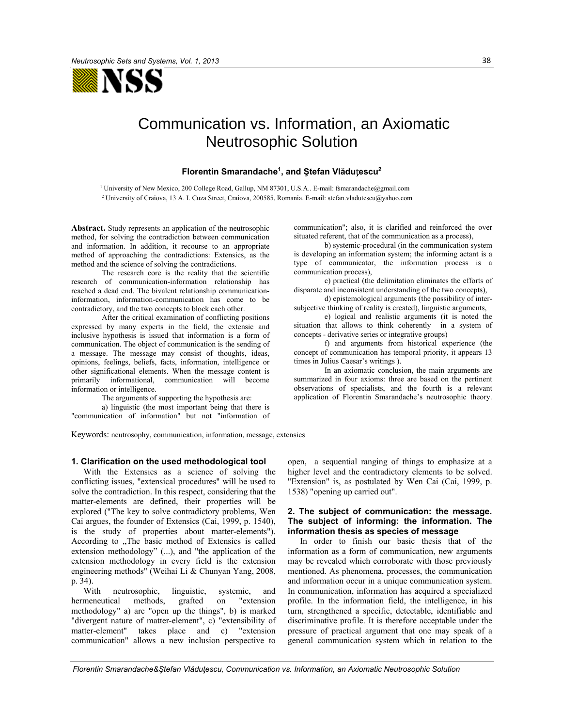

## Communication vs. Information, an Axiomatic Neutrosophic Solution

#### **Florentin Smarandache1, and Ştefan Vlădu**ț**escu2**

1 University of New Mexico, 200 College Road, Gallup, NM 87301, U.S.A.. E-mail: fsmarandache@gmail.com 2 University of Craiova, 13 A. I. Cuza Street, Craiova, 200585, Romania. E-mail: stefan.vladutescu@yahoo.com

**Abstract.** Study represents an application of the neutrosophic method, for solving the contradiction between communication and information. In addition, it recourse to an appropriate method of approaching the contradictions: Extensics, as the method and the science of solving the contradictions.

The research core is the reality that the scientific research of communication-information relationship has reached a dead end. The bivalent relationship communicationinformation, information-communication has come to be contradictory, and the two concepts to block each other.

After the critical examination of conflicting positions expressed by many experts in the field, the extensic and inclusive hypothesis is issued that information is a form of communication. The object of communication is the sending of a message. The message may consist of thoughts, ideas, opinions, feelings, beliefs, facts, information, intelligence or other significational elements. When the message content is primarily informational, communication will become information or intelligence.

The arguments of supporting the hypothesis are:

a) linguistic (the most important being that there is "communication of information" but not "information of

communication"; also, it is clarified and reinforced the over situated referent, that of the communication as a process),

b) systemic-procedural (in the communication system is developing an information system; the informing actant is a type of communicator, the information process is a communication process),

c) practical (the delimitation eliminates the efforts of disparate and inconsistent understanding of the two concepts),

d) epistemological arguments (the possibility of intersubjective thinking of reality is created), linguistic arguments,

e) logical and realistic arguments (it is noted the situation that allows to think coherently in a system of concepts - derivative series or integrative groups)

f) and arguments from historical experience (the concept of communication has temporal priority, it appears 13 times in Julius Caesar's writings ).

In an axiomatic conclusion, the main arguments are summarized in four axioms: three are based on the pertinent observations of specialists, and the fourth is a relevant application of Florentin Smarandache's neutrosophic theory.

Keywords: neutrosophy, communication, information, message, extensics

#### **1. Clarification on the used methodological tool**

With the Extensics as a science of solving the conflicting issues, "extensical procedures" will be used to solve the contradiction. In this respect, considering that the matter-elements are defined, their properties will be explored ("The key to solve contradictory problems, Wen Cai argues, the founder of Extensics (Cai, 1999, p. 1540), is the study of properties about matter-elements"). According to "The basic method of Extensics is called extension methodology" (...), and "the application of the extension methodology in every field is the extension engineering methods" (Weihai Li & Chunyan Yang, 2008, p. 34).

With neutrosophic, linguistic, systemic, and hermeneutical methods, grafted on "extension methodology" a) are "open up the things", b) is marked "divergent nature of matter-element", c) "extensibility of matter-element" takes place and c) "extension communication" allows a new inclusion perspective to

open, a sequential ranging of things to emphasize at a higher level and the contradictory elements to be solved. "Extension" is, as postulated by Wen Cai (Cai, 1999, p. 1538) "opening up carried out".

#### **2. The subject of communication: the message. The subject of informing: the information. The information thesis as species of message**

In order to finish our basic thesis that of the information as a form of communication, new arguments may be revealed which corroborate with those previously mentioned. As phenomena, processes, the communication and information occur in a unique communication system. In communication, information has acquired a specialized profile. In the information field, the intelligence, in his turn, strengthened a specific, detectable, identifiable and discriminative profile. It is therefore acceptable under the pressure of practical argument that one may speak of a general communication system which in relation to the

*Florentin Smarandache&Ştefan Vlăduţescu, Communication vs. Information, an Axiomatic Neutrosophic Solution*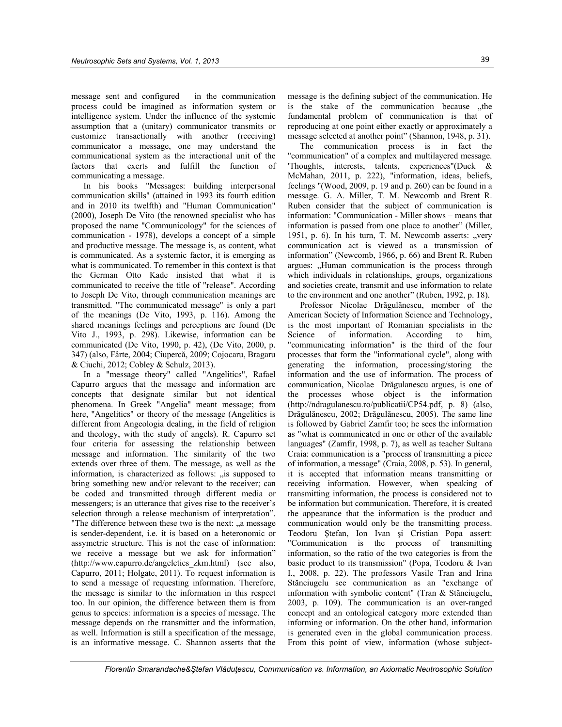message sent and configured in the communication process could be imagined as information system or intelligence system. Under the influence of the systemic assumption that a (unitary) communicator transmits or customize transactionally with another (receiving) communicator a message, one may understand the communicational system as the interactional unit of the factors that exerts and fulfill the function of communicating a message.

In his books "Messages: building interpersonal communication skills" (attained in 1993 its fourth edition and in 2010 its twelfth) and "Human Communication" (2000), Joseph De Vito (the renowned specialist who has proposed the name "Communicology" for the sciences of communication - 1978), develops a concept of a simple and productive message. The message is, as content, what is communicated. As a systemic factor, it is emerging as what is communicated. To remember in this context is that the German Otto Kade insisted that what it is communicated to receive the title of "release". According to Joseph De Vito, through communication meanings are transmitted. "The communicated message" is only a part of the meanings (De Vito, 1993, p. 116). Among the shared meanings feelings and perceptions are found (De Vito J., 1993, p. 298). Likewise, information can be communicated (De Vito, 1990, p. 42), (De Vito, 2000, p. 347) (also, Fârte, 2004; Ciupercă, 2009; Cojocaru, Bragaru & Ciuchi, 2012; Cobley & Schulz, 2013).

In a "message theory" called "Angelitics", Rafael Capurro argues that the message and information are concepts that designate similar but not identical phenomena. In Greek "Angelia" meant message; from here, "Angelitics" or theory of the message (Angelitics is different from Angeologia dealing, in the field of religion and theology, with the study of angels). R. Capurro set four criteria for assessing the relationship between message and information. The similarity of the two extends over three of them. The message, as well as the information, is characterized as follows: "is supposed to bring something new and/or relevant to the receiver; can be coded and transmitted through different media or messengers; is an utterance that gives rise to the receiver's selection through a release mechanism of interpretation". "The difference between these two is the next: "a message is sender-dependent, i.e. it is based on a heteronomic or assymetric structure. This is not the case of information: we receive a message but we ask for information" (http://www.capurro.de/angeletics\_zkm.html) (see also, Capurro, 2011; Holgate, 2011). To request information is to send a message of requesting information. Therefore, the message is similar to the information in this respect too. In our opinion, the difference between them is from genus to species: information is a species of message. The message depends on the transmitter and the information, as well. Information is still a specification of the message, is an informative message. C. Shannon asserts that the

message is the defining subject of the communication. He is the stake of the communication because "the fundamental problem of communication is that of reproducing at one point either exactly or approximately a message selected at another point" (Shannon, 1948, p. 31).

The communication process is in fact the "communication" of a complex and multilayered message. 'Thoughts, interests, talents, experiences"(Duck & McMahan, 2011, p. 222), "information, ideas, beliefs, feelings "(Wood, 2009, p. 19 and p. 260) can be found in a message. G. A. Miller, T. M. Newcomb and Brent R. Ruben consider that the subject of communication is information: "Communication - Miller shows – means that information is passed from one place to another" (Miller, 1951, p. 6). In his turn, T. M. Newcomb asserts: "very communication act is viewed as a transmission of information" (Newcomb, 1966, p. 66) and Brent R. Ruben argues: "Human communication is the process through which individuals in relationships, groups, organizations and societies create, transmit and use information to relate to the environment and one another" (Ruben, 1992, p. 18).

Professor Nicolae Drăgulănescu, member of the American Society of Information Science and Technology, is the most important of Romanian specialists in the Science of information. According to him, "communicating information" is the third of the four processes that form the "informational cycle", along with generating the information, processing/storing the information and the use of information. The process of communication, Nicolae Drăgulanescu argues, is one of the processes whose object is the information (http://ndragulanescu.ro/publicatii/CP54.pdf, p. 8) (also, Drăgulănescu, 2002; Drăgulănescu, 2005). The same line is followed by Gabriel Zamfir too; he sees the information as "what is communicated in one or other of the available languages" (Zamfir, 1998, p. 7), as well as teacher Sultana Craia: communication is a "process of transmitting a piece of information, a message" (Craia, 2008, p. 53). In general, it is accepted that information means transmitting or receiving information. However, when speaking of transmitting information, the process is considered not to be information but communication. Therefore, it is created the appearance that the information is the product and communication would only be the transmitting process. Teodoru Ştefan, Ion Ivan şi Cristian Popa assert: "Communication is the process of transmitting information, so the ratio of the two categories is from the basic product to its transmission" (Popa, Teodoru & Ivan I., 2008, p. 22). The professors Vasile Tran and Irina Stănciugelu see communication as an "exchange of information with symbolic content" (Tran & Stănciugelu, 2003, p. 109). The communication is an over-ranged concept and an ontological category more extended than informing or information. On the other hand, information is generated even in the global communication process. From this point of view, information (whose subject-

*Florentin Smarandache&Ştefan Vlăduţescu, Communication vs. Information, an Axiomatic Neutrosophic Solution*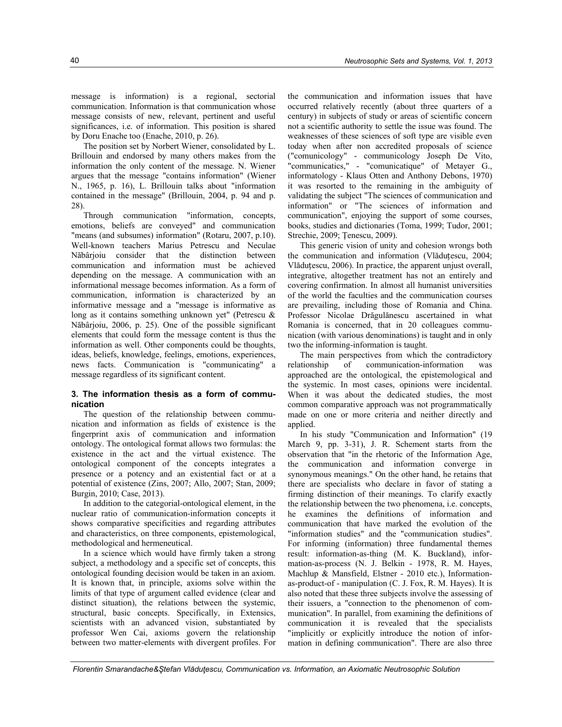message is information) is a regional, sectorial communication. Information is that communication whose message consists of new, relevant, pertinent and useful significances, i.e. of information. This position is shared by Doru Enache too (Enache, 2010, p. 26).

The position set by Norbert Wiener, consolidated by L. Brillouin and endorsed by many others makes from the information the only content of the message. N. Wiener argues that the message "contains information" (Wiener N., 1965, p. 16), L. Brillouin talks about "information contained in the message" (Brillouin, 2004, p. 94 and p. 28).

Through communication "information, concepts, emotions, beliefs are conveyed" and communication "means (and subsumes) information" (Rotaru, 2007, p.10). Well-known teachers Marius Petrescu and Neculae Năbârjoiu consider that the distinction between communication and information must be achieved depending on the message. A communication with an informational message becomes information. As a form of communication, information is characterized by an informative message and a "message is informative as long as it contains something unknown yet" (Petrescu & Năbârjoiu, 2006, p. 25). One of the possible significant elements that could form the message content is thus the information as well. Other components could be thoughts, ideas, beliefs, knowledge, feelings, emotions, experiences, news facts. Communication is "communicating" a message regardless of its significant content.

#### **3. The information thesis as a form of communication**

The question of the relationship between communication and information as fields of existence is the fingerprint axis of communication and information ontology. The ontological format allows two formulas: the existence in the act and the virtual existence. The ontological component of the concepts integrates a presence or a potency and an existential fact or at a potential of existence (Zins, 2007; Allo, 2007; Stan, 2009; Burgin, 2010; Case, 2013).

In addition to the categorial-ontological element, in the nuclear ratio of communication-information concepts it shows comparative specificities and regarding attributes and characteristics, on three components, epistemological, methodological and hermeneutical.

In a science which would have firmly taken a strong subject, a methodology and a specific set of concepts, this ontological founding decision would be taken in an axiom. It is known that, in principle, axioms solve within the limits of that type of argument called evidence (clear and distinct situation), the relations between the systemic, structural, basic concepts. Specifically, in Extensics, scientists with an advanced vision, substantiated by professor Wen Cai, axioms govern the relationship between two matter-elements with divergent profiles. For

the communication and information issues that have occurred relatively recently (about three quarters of a century) in subjects of study or areas of scientific concern not a scientific authority to settle the issue was found. The weaknesses of these sciences of soft type are visible even today when after non accredited proposals of science ("comunicology" - communicology Joseph De Vito, "communicatics," - "comunicatique" of Metayer G., informatology - Klaus Otten and Anthony Debons, 1970) it was resorted to the remaining in the ambiguity of validating the subject "The sciences of communication and information" or "The sciences of information and communication", enjoying the support of some courses, books, studies and dictionaries (Toma, 1999; Tudor, 2001; Strechie, 2009; Ţenescu, 2009).

This generic vision of unity and cohesion wrongs both the communication and information (Vlăduțescu, 2004; Vlăduțescu, 2006). In practice, the apparent unjust overall, integrative, altogether treatment has not an entirely and covering confirmation. In almost all humanist universities of the world the faculties and the communication courses are prevailing, including those of Romania and China. Professor Nicolae Drăgulănescu ascertained in what Romania is concerned, that in 20 colleagues communication (with various denominations) is taught and in only two the informing-information is taught.

The main perspectives from which the contradictory relationship of communication-information was approached are the ontological, the epistemological and the systemic. In most cases, opinions were incidental. When it was about the dedicated studies, the most common comparative approach was not programmatically made on one or more criteria and neither directly and applied.

In his study "Communication and Information" (19 March 9, pp. 3-31), J. R. Schement starts from the observation that "in the rhetoric of the Information Age, the communication and information converge in synonymous meanings." On the other hand, he retains that there are specialists who declare in favor of stating a firming distinction of their meanings. To clarify exactly the relationship between the two phenomena, i.e. concepts, he examines the definitions of information and communication that have marked the evolution of the "information studies" and the "communication studies". For informing (information) three fundamental themes result: information-as-thing (M. K. Buckland), information-as-process (N. J. Belkin - 1978, R. M. Hayes, Machlup & Mansfield, Elstner - 2010 etc.), Informationas-product-of - manipulation (C. J. Fox, R. M. Hayes). It is also noted that these three subjects involve the assessing of their issuers, a "connection to the phenomenon of communication". In parallel, from examining the definitions of communication it is revealed that the specialists "implicitly or explicitly introduce the notion of information in defining communication". There are also three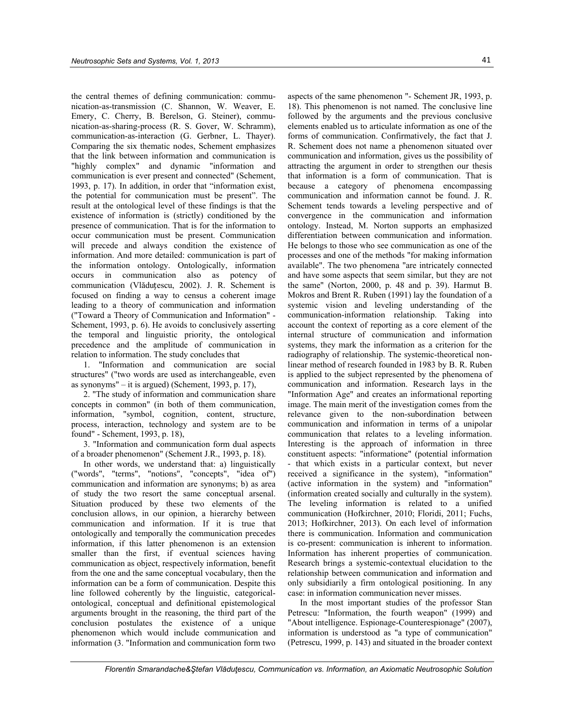the central themes of defining communication: communication-as-transmission (C. Shannon, W. Weaver, E. Emery, C. Cherry, B. Berelson, G. Steiner), communication-as-sharing-process (R. S. Gover, W. Schramm), communication-as-interaction (G. Gerbner, L. Thayer). Comparing the six thematic nodes, Schement emphasizes that the link between information and communication is "highly complex" and dynamic "information and communication is ever present and connected" (Schement, 1993, p. 17). In addition, in order that "information exist, the potential for communication must be present". The result at the ontological level of these findings is that the existence of information is (strictly) conditioned by the presence of communication. That is for the information to occur communication must be present. Communication will precede and always condition the existence of information. And more detailed: communication is part of the information ontology. Ontologically, information occurs in communication also as potency of communication (Vlăduțescu, 2002). J. R. Schement is focused on finding a way to census a coherent image leading to a theory of communication and information ("Toward a Theory of Communication and Information" - Schement, 1993, p. 6). He avoids to conclusively asserting the temporal and linguistic priority, the ontological precedence and the amplitude of communication in relation to information. The study concludes that

1. "Information and communication are social structures" ("two words are used as interchangeable, even as synonyms" – it is argued) (Schement, 1993, p. 17),

2. "The study of information and communication share concepts in common" (in both of them communication, information, "symbol, cognition, content, structure, process, interaction, technology and system are to be found" - Schement, 1993, p. 18),

3. "Information and communication form dual aspects of a broader phenomenon" (Schement J.R., 1993, p. 18).

In other words, we understand that: a) linguistically ("words", "terms", "notions", "concepts", "idea of") communication and information are synonyms; b) as area of study the two resort the same conceptual arsenal. Situation produced by these two elements of the conclusion allows, in our opinion, a hierarchy between communication and information. If it is true that ontologically and temporally the communication precedes information, if this latter phenomenon is an extension smaller than the first, if eventual sciences having communication as object, respectively information, benefit from the one and the same conceptual vocabulary, then the information can be a form of communication. Despite this line followed coherently by the linguistic, categoricalontological, conceptual and definitional epistemological arguments brought in the reasoning, the third part of the conclusion postulates the existence of a unique phenomenon which would include communication and information (3. "Information and communication form two

aspects of the same phenomenon "- Schement JR, 1993, p. 18). This phenomenon is not named. The conclusive line followed by the arguments and the previous conclusive elements enabled us to articulate information as one of the forms of communication. Confirmatively, the fact that J. R. Schement does not name a phenomenon situated over communication and information, gives us the possibility of attracting the argument in order to strengthen our thesis that information is a form of communication. That is because a category of phenomena encompassing communication and information cannot be found. J. R. Schement tends towards a leveling perspective and of convergence in the communication and information ontology. Instead, M. Norton supports an emphasized differentiation between communication and information. He belongs to those who see communication as one of the processes and one of the methods "for making information available". The two phenomena "are intricately connected and have some aspects that seem similar, but they are not the same" (Norton, 2000, p. 48 and p. 39). Harmut B. Mokros and Brent R. Ruben (1991) lay the foundation of a systemic vision and leveling understanding of the communication-information relationship. Taking into account the context of reporting as a core element of the internal structure of communication and information systems, they mark the information as a criterion for the radiography of relationship. The systemic-theoretical nonlinear method of research founded in 1983 by B. R. Ruben is applied to the subject represented by the phenomena of communication and information. Research lays in the "Information Age" and creates an informational reporting image. The main merit of the investigation comes from the relevance given to the non-subordination between communication and information in terms of a unipolar communication that relates to a leveling information. Interesting is the approach of information in three constituent aspects: "informatione" (potential information - that which exists in a particular context, but never received a significance in the system), "information" (active information in the system) and "information" (information created socially and culturally in the system). The leveling information is related to a unified communication (Hofkirchner, 2010; Floridi, 2011; Fuchs, 2013; Hofkirchner, 2013). On each level of information there is communication. Information and communication is co-present: communication is inherent to information. Information has inherent properties of communication. Research brings a systemic-contextual elucidation to the relationship between communication and information and only subsidiarily a firm ontological positioning. In any case: in information communication never misses.

In the most important studies of the professor Stan Petrescu: "Information, the fourth weapon" (1999) and "About intelligence. Espionage-Counterespionage" (2007), information is understood as "a type of communication" (Petrescu, 1999, p. 143) and situated in the broader context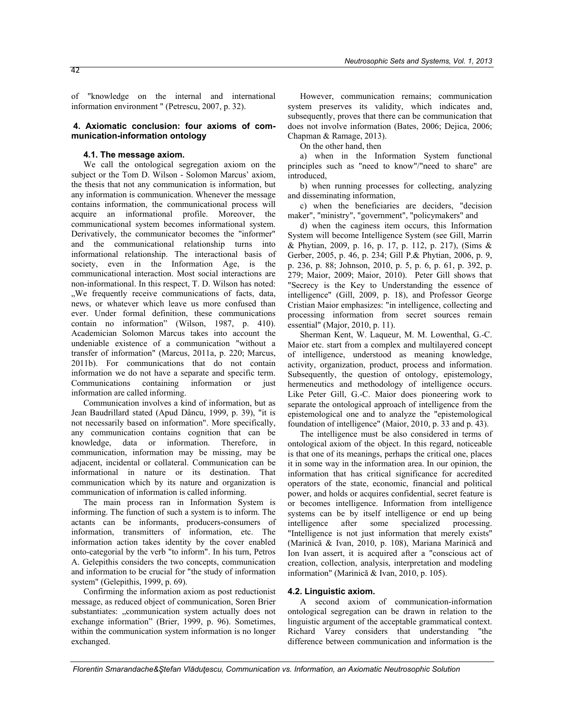of "knowledge on the internal and international information environment " (Petrescu, 2007, p. 32).

#### **4. Axiomatic conclusion: four axioms of communication-information ontology**

#### **4.1. The message axiom.**

We call the ontological segregation axiom on the subject or the Tom D. Wilson - Solomon Marcus' axiom, the thesis that not any communication is information, but any information is communication. Whenever the message contains information, the communicational process will acquire an informational profile. Moreover, the communicational system becomes informational system. Derivatively, the communicator becomes the "informer" and the communicational relationship turns into informational relationship. The interactional basis of society, even in the Information Age, is the communicational interaction. Most social interactions are non-informational. In this respect, T. D. Wilson has noted: . We frequently receive communications of facts, data, news, or whatever which leave us more confused than ever. Under formal definition, these communications contain no information" (Wilson, 1987, p. 410). Academician Solomon Marcus takes into account the undeniable existence of a communication "without a transfer of information" (Marcus, 2011a, p. 220; Marcus, 2011b). For communications that do not contain information we do not have a separate and specific term. Communications containing information or just information are called informing.

Communication involves a kind of information, but as Jean Baudrillard stated (Apud Dâncu, 1999, p. 39), "it is not necessarily based on information". More specifically, any communication contains cognition that can be knowledge, data or information. Therefore, in communication, information may be missing, may be adjacent, incidental or collateral. Communication can be informational in nature or its destination. That communication which by its nature and organization is communication of information is called informing.

The main process ran in Information System is informing. The function of such a system is to inform. The actants can be informants, producers-consumers of information, transmitters of information, etc. The information action takes identity by the cover enabled onto-categorial by the verb "to inform". In his turn, Petros A. Gelepithis considers the two concepts, communication and information to be crucial for "the study of information system" (Gelepithis, 1999, p. 69).

Confirming the information axiom as post reductionist message, as reduced object of communication, Soren Brier substantiates: "communication system actually does not exchange information" (Brier, 1999, p. 96). Sometimes, within the communication system information is no longer exchanged.

However, communication remains; communication system preserves its validity, which indicates and, subsequently, proves that there can be communication that does not involve information (Bates, 2006; Dejica, 2006; Chapman & Ramage, 2013).

On the other hand, then

a) when in the Information System functional principles such as "need to know"/"need to share" are introduced,

b) when running processes for collecting, analyzing and disseminating information,

c) when the beneficiaries are deciders, "decision maker", "ministry", "government", "policymakers" and

d) when the caginess item occurs, this Information System will become Intelligence System (see Gill, Marrin & Phytian, 2009, p. 16, p. 17, p. 112, p. 217), (Sims & Gerber, 2005, p. 46, p. 234; Gill P.& Phytian, 2006, p. 9, p. 236, p. 88; Johnson, 2010, p. 5, p. 6, p. 61, p. 392, p. 279; Maior, 2009; Maior, 2010). Peter Gill shows that "Secrecy is the Key to Understanding the essence of intelligence" (Gill, 2009, p. 18), and Professor George Cristian Maior emphasizes: "in intelligence, collecting and processing information from secret sources remain essential" (Major, 2010, p. 11).

Sherman Kent, W. Laqueur, M. M. Lowenthal, G.-C. Maior etc. start from a complex and multilayered concept of intelligence, understood as meaning knowledge, activity, organization, product, process and information. Subsequently, the question of ontology, epistemology, hermeneutics and methodology of intelligence occurs. Like Peter Gill, G.-C. Maior does pioneering work to separate the ontological approach of intelligence from the epistemological one and to analyze the "epistemological foundation of intelligence" (Maior, 2010, p. 33 and p. 43).

The intelligence must be also considered in terms of ontological axiom of the object. In this regard, noticeable is that one of its meanings, perhaps the critical one, places it in some way in the information area. In our opinion, the information that has critical significance for accredited operators of the state, economic, financial and political power, and holds or acquires confidential, secret feature is or becomes intelligence. Information from intelligence systems can be by itself intelligence or end up being intelligence after some specialized processing. "Intelligence is not just information that merely exists" (Marinică & Ivan, 2010, p. 108), Mariana Marinică and Ion Ivan assert, it is acquired after a "conscious act of creation, collection, analysis, interpretation and modeling information" (Marinică & Ivan, 2010, p. 105).

#### **4.2. Linguistic axiom.**

A second axiom of communication-information ontological segregation can be drawn in relation to the linguistic argument of the acceptable grammatical context. Richard Varey considers that understanding "the difference between communication and information is the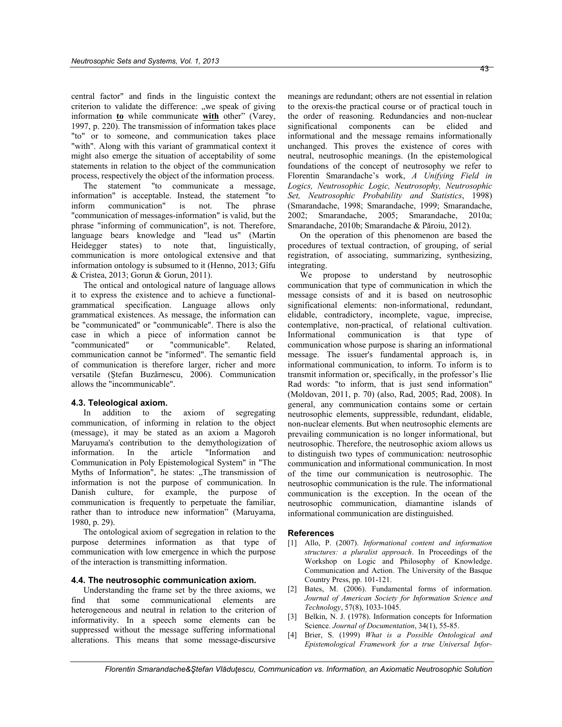central factor" and finds in the linguistic context the criterion to validate the difference: "we speak of giving information **to** while communicate **with** other" (Varey, 1997, p. 220). The transmission of information takes place "to" or to someone, and communication takes place "with". Along with this variant of grammatical context it might also emerge the situation of acceptability of some statements in relation to the object of the communication process, respectively the object of the information process.

The statement "to communicate a message, information" is acceptable. Instead, the statement "to inform communication" is not. The phrase "communication of messages-information" is valid, but the phrase "informing of communication", is not. Therefore, language bears knowledge and "lead us" (Martin Heidegger states) to note that, linguistically, communication is more ontological extensive and that information ontology is subsumed to it (Henno, 2013; Gîfu & Cristea, 2013; Gorun & Gorun, 2011).

The ontical and ontological nature of language allows it to express the existence and to achieve a functionalgrammatical specification. Language allows only grammatical existences. As message, the information can be "communicated" or "communicable". There is also the case in which a piece of information cannot be "communicated" or "communicable". Related, communication cannot be "informed". The semantic field of communication is therefore larger, richer and more versatile (Ştefan Buzărnescu, 2006). Communication allows the "incommunicable".

#### **4.3. Teleological axiom.**

In addition to the axiom of segregating communication, of informing in relation to the object (message), it may be stated as an axiom a Magoroh Maruyama's contribution to the demythologization of information. In the article "Information and Communication in Poly Epistemological System" in "The Myths of Information", he states: "The transmission of information is not the purpose of communication. In Danish culture, for example, the purpose of communication is frequently to perpetuate the familiar, rather than to introduce new information" (Maruyama, 1980, p. 29).

The ontological axiom of segregation in relation to the purpose determines information as that type of communication with low emergence in which the purpose of the interaction is transmitting information.

#### **4.4. The neutrosophic communication axiom.**

Understanding the frame set by the three axioms, we find that some communicational elements are heterogeneous and neutral in relation to the criterion of informativity. In a speech some elements can be suppressed without the message suffering informational alterations. This means that some message-discursive

meanings are redundant; others are not essential in relation to the orexis-the practical course or of practical touch in the order of reasoning. Redundancies and non-nuclear significational components can be elided and informational and the message remains informationally unchanged. This proves the existence of cores with neutral, neutrosophic meanings. (In the epistemological foundations of the concept of neutrosophy we refer to Florentin Smarandache's work, *A Unifying Field in Logics, Neutrosophic Logic, Neutrosophy, Neutrosophic Set, Neutrosophic Probability and Statistics*, 1998) (Smarandache, 1998; Smarandache, 1999; Smarandache, 2002; Smarandache, 2005; Smarandache, 2010a; Smarandache, 2010b; Smarandache & Păroiu, 2012).

On the operation of this phenomenon are based the procedures of textual contraction, of grouping, of serial registration, of associating, summarizing, synthesizing, integrating.

We propose to understand by neutrosophic communication that type of communication in which the message consists of and it is based on neutrosophic significational elements: non-informational, redundant, elidable, contradictory, incomplete, vague, imprecise, contemplative, non-practical, of relational cultivation. Informational communication is that type of communication whose purpose is sharing an informational message. The issuer's fundamental approach is, in informational communication, to inform. To inform is to transmit information or, specifically, in the professor's Ilie Rad words: "to inform, that is just send information" (Moldovan, 2011, p. 70) (also, Rad, 2005; Rad, 2008). In general, any communication contains some or certain neutrosophic elements, suppressible, redundant, elidable, non-nuclear elements. But when neutrosophic elements are prevailing communication is no longer informational, but neutrosophic. Therefore, the neutrosophic axiom allows us to distinguish two types of communication: neutrosophic communication and informational communication. In most of the time our communication is neutrosophic. The neutrosophic communication is the rule. The informational communication is the exception. In the ocean of the neutrosophic communication, diamantine islands of informational communication are distinguished.

#### **References**

- [1] Allo, P. (2007). *Informational content and information structures: a pluralist approach*. In Proceedings of the Workshop on Logic and Philosophy of Knowledge. Communication and Action. The University of the Basque Country Press, pp. 101-121.
- [2] Bates, M. (2006). Fundamental forms of information. *Journal of American Society for Information Science and Technology*, 57(8), 1033-1045.
- [3] Belkin, N. J. (1978). Information concepts for Information Science. *Journal of Documentation*, 34(1), 55-85.
- [4] Brier, S. (1999) *What is a Possible Ontological and Epistemological Framework for a true Universal Infor-*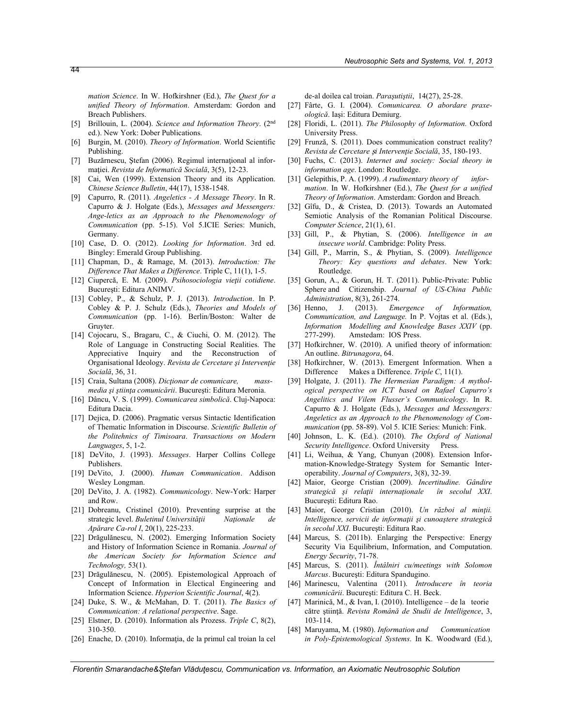*mation Science*. In W. Hofkirshner (Ed.), *The Quest for a unified Theory of Information*. Amsterdam: Gordon and Breach Publishers.

- [5] Brillouin, L. (2004). *Science and Information Theory*. (2nd ed.). New York: Dober Publications.
- [6] Burgin, M. (2010). *Theory of Information*. World Scientific Publishing.
- [7] Buzărnescu, Ştefan (2006). Regimul internaţional al informaţiei. *Revista de Informatică Socială*, 3(5), 12-23.
- [8] Cai, Wen (1999). Extension Theory and its Application. *Chinese Science Bulletin*, 44(17), 1538-1548.
- [9] Capurro, R. (2011). *Angeletics A Message Theory*. In R. Capurro & J. Holgate (Eds.), *Messages and Messengers: Ange-letics as an Approach to the Phenomenology of Communication* (pp. 5-15). Vol 5.ICIE Series: Munich, Germany.
- [10] Case, D. O. (2012). *Looking for Information*. 3rd ed. Bingley: Emerald Group Publishing.
- [11] Chapman, D., & Ramage, M. (2013). *Introduction: The Difference That Makes a Difference*. Triple C, 11(1), 1-5.
- [12] Ciupercă, E. M. (2009). *Psihosociologia vieţii cotidiene*. Bucureşti: Editura ANIMV.
- [13] Cobley, P., & Schulz, P. J. (2013). *Introduction*. In P. Cobley & P. J. Schulz (Eds.), *Theories and Models of Communication* (pp. 1-16). Berlin/Boston: Walter de Gruyter.
- [14] Cojocaru, S., Bragaru, C., & Ciuchi, O. M. (2012). The Role of Language in Constructing Social Realities. The Appreciative Inquiry and the Reconstruction of Organisational Ideology. *Revista de Cercetare şi Intervenţie Socială*, 36, 31.
- [15] Craia, Sultana (2008). *Dicţionar de comunicare, massmedia şi ştiinţa comunicării*. Bucureşti: Editura Meronia.
- [16] Dâncu, V. S. (1999). *Comunicarea simbolică*. Cluj-Napoca: Editura Dacia.
- [17] Dejica, D. (2006). Pragmatic versus Sintactic Identification of Thematic Information in Discourse. *Scientific Bulletin of the Politehnics of Timisoara*. *Transactions on Modern Languages*, 5, 1-2.
- [18] DeVito, J. (1993). *Messages*. Harper Collins College Publishers.
- [19] DeVito, J. (2000). *Human Communication*. Addison Wesley Longman.
- [20] DeVito, J. A. (1982). *Communicology*. New-York: Harper and Row.
- [21] Dobreanu, Cristinel (2010). Preventing surprise at the strategic level. *Buletinul Universităţii Naţionale de Apărare Ca-rol I*, 20(1), 225-233.
- [22] Drăgulănescu, N. (2002). Emerging Information Society and History of Information Science in Romania. *Journal of the American Society for Information Science and Technology,* 53(1).
- [23] Drăgulănescu, N. (2005). Epistemological Approach of Concept of Information in Electical Engineering and Information Science. *Hyperion Scientific Journal*, 4(2).
- [24] Duke, S. W., & McMahan, D. T. (2011). *The Basics of Communication: A relational perspective*. Sage.
- [25] Elstner, D. (2010). Information als Prozess. *Triple C*, 8(2), 310-350.
- [26] Enache, D. (2010). Informaţia, de la primul cal troian la cel

de-al doilea cal troian. *Paraşutiştii*, 14(27), 25-28.

- [27] Fârte, G. I. (2004). *Comunicarea. O abordare praxeologică*. Iaşi: Editura Demiurg.
- [28] Floridi, L. (2011). *The Philosophy of Information*. Oxford University Press.
- [29] Frunză, S. (2011). Does communication construct reality? *Revista de Cercetare* ș*i Intervenţie Socială*, 35, 180-193.
- [30] Fuchs, C. (2013). *Internet and society: Social theory in information age*. London: Routledge.
- [31] Gelepithis, P. A. (1999). *A rudimentary theory of information*. In W. Hofkirshner (Ed.), *The Quest for a unified Theory of Information*. Amsterdam: Gordon and Breach.
- [32] Gîfu, D., & Cristea, D. (2013). Towards an Automated Semiotic Analysis of the Romanian Political Discourse. *Computer Science*, 21(1), 61.
- [33] Gill, P., & Phytian, S. (2006). *Intelligence in an insecure world*. Cambridge: Polity Press.
- [34] Gill, P., Marrin, S., & Phytian, S. (2009). *Intelligence Theory: Key questions and debates*. New York: Routledge.
- [35] Gorun, A., & Gorun, H. T. (2011). Public-Private: Public Sphere and Citizenship. *Journal of US-China Public Administration*, 8(3), 261-274.
- [36] Henno, J. (2013). *Emergence of Information, Communication, and Language.* In P. Vojtas et al. (Eds.), *Information Modelling and Knowledge Bases XXIV* (pp. 277-299). Amstedam: IOS Press.
- [37] Hofkirchner, W. (2010). A unified theory of information: An outline. *Bitrunagora*, 64.
- [38] Hofkirchner, W. (2013). Emergent Information. When a Difference Makes a Difference. *Triple C*, 11(1).
- [39] Holgate, J. (2011). *The Hermesian Paradigm: A mythological perspective on ICT based on Rafael Capurro's Angelitics and Vilem Flusser's Communicology*. In R. Capurro & J. Holgate (Eds.), *Messages and Messengers: Angeletics as an Approach to the Phenomenology of Communication* (pp. 58-89). Vol 5. ICIE Series: Munich: Fink.
- [40] Johnson, L. K. (Ed.). (2010). *The Oxford of National*  Security Intelligence. Oxford University Press.
- [41] Li, Weihua, & Yang, Chunyan (2008). Extension Information-Knowledge-Strategy System for Semantic Interoperability. *Journal of Computers*, 3(8), 32-39.
- [42] Maior, George Cristian (2009). *Incertitudine. Gândire strategică şi relaţii internaţionale în secolul XXI*. Bucureşti: Editura Rao.
- [43] Maior, George Cristian (2010). *Un război al minţii. Intelligence, servicii de informaţii şi cunoaştere strategică în secolul XXI*. Bucureşti: Editura Rao.
- [44] Marcus, S. (2011b). Enlarging the Perspective: Energy Security Via Equilibrium, Information, and Computation. *Energy Security*, 71-78.
- [45] Marcus, S. (2011). *Întâlniri cu/meetings with Solomon Marcus*. Bucureşti: Editura Spandugino.
- [46] Marinescu, Valentina (2011). *Introducere în teoria comunicării*. Bucureşti: Editura C. H. Beck.
- [47] Marinică, M., & Ivan, I. (2010). Intelligence de la teorie către ştiinţă. *Revista Română de Studii de Intelligence*, 3, 103-114.
- [48] Maruyama, M. (1980). *Information and Communication in Poly-Epistemological Systems*. In K. Woodward (Ed.),